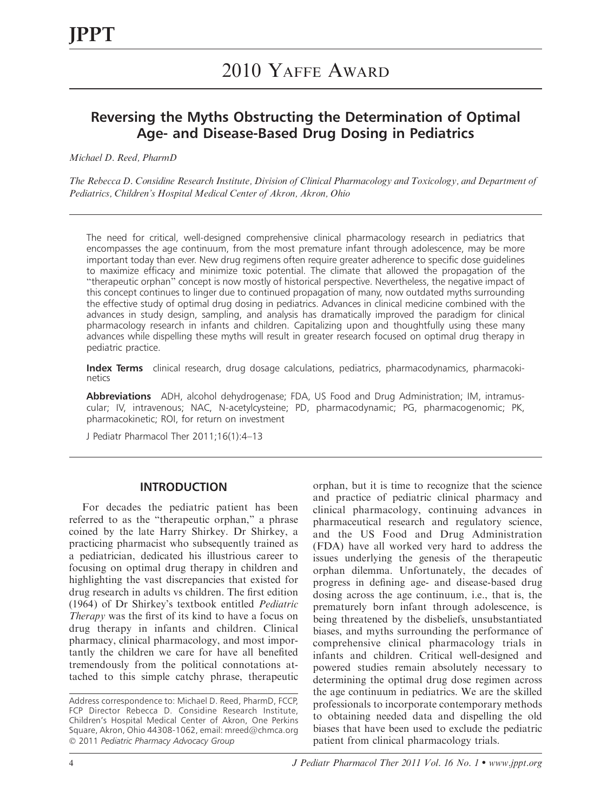# Reversing the Myths Obstructing the Determination of Optimal Age- and Disease-Based Drug Dosing in Pediatrics

Michael D. Reed, PharmD

The Rebecca D. Considine Research Institute, Division of Clinical Pharmacology and Toxicology, and Department of Pediatrics, Children's Hospital Medical Center of Akron, Akron, Ohio

The need for critical, well-designed comprehensive clinical pharmacology research in pediatrics that encompasses the age continuum, from the most premature infant through adolescence, may be more important today than ever. New drug regimens often require greater adherence to specific dose guidelines to maximize efficacy and minimize toxic potential. The climate that allowed the propagation of the ''therapeutic orphan'' concept is now mostly of historical perspective. Nevertheless, the negative impact of this concept continues to linger due to continued propagation of many, now outdated myths surrounding the effective study of optimal drug dosing in pediatrics. Advances in clinical medicine combined with the advances in study design, sampling, and analysis has dramatically improved the paradigm for clinical pharmacology research in infants and children. Capitalizing upon and thoughtfully using these many advances while dispelling these myths will result in greater research focused on optimal drug therapy in pediatric practice.

Index Terms clinical research, drug dosage calculations, pediatrics, pharmacodynamics, pharmacokinetics

Abbreviations ADH, alcohol dehydrogenase; FDA, US Food and Drug Administration; IM, intramuscular; IV, intravenous; NAC, N-acetylcysteine; PD, pharmacodynamic; PG, pharmacogenomic; PK, pharmacokinetic; ROI, for return on investment

J Pediatr Pharmacol Ther 2011;16(1):4–13

#### INTRODUCTION

For decades the pediatric patient has been referred to as the ''therapeutic orphan,'' a phrase coined by the late Harry Shirkey. Dr Shirkey, a practicing pharmacist who subsequently trained as a pediatrician, dedicated his illustrious career to focusing on optimal drug therapy in children and highlighting the vast discrepancies that existed for drug research in adults vs children. The first edition (1964) of Dr Shirkey's textbook entitled Pediatric Therapy was the first of its kind to have a focus on drug therapy in infants and children. Clinical pharmacy, clinical pharmacology, and most importantly the children we care for have all benefited tremendously from the political connotations attached to this simple catchy phrase, therapeutic

orphan, but it is time to recognize that the science and practice of pediatric clinical pharmacy and clinical pharmacology, continuing advances in pharmaceutical research and regulatory science, and the US Food and Drug Administration (FDA) have all worked very hard to address the issues underlying the genesis of the therapeutic orphan dilemma. Unfortunately, the decades of progress in defining age- and disease-based drug dosing across the age continuum, i.e., that is, the prematurely born infant through adolescence, is being threatened by the disbeliefs, unsubstantiated biases, and myths surrounding the performance of comprehensive clinical pharmacology trials in infants and children. Critical well-designed and powered studies remain absolutely necessary to determining the optimal drug dose regimen across the age continuum in pediatrics. We are the skilled professionals to incorporate contemporary methods to obtaining needed data and dispelling the old biases that have been used to exclude the pediatric patient from clinical pharmacology trials.

Address correspondence to: Michael D. Reed, PharmD, FCCP, FCP Director Rebecca D. Considine Research Institute, Children's Hospital Medical Center of Akron, One Perkins Square, Akron, Ohio 44308-1062, email: mreed@chmca.org © 2011 Pediatric Pharmacy Advocacy Group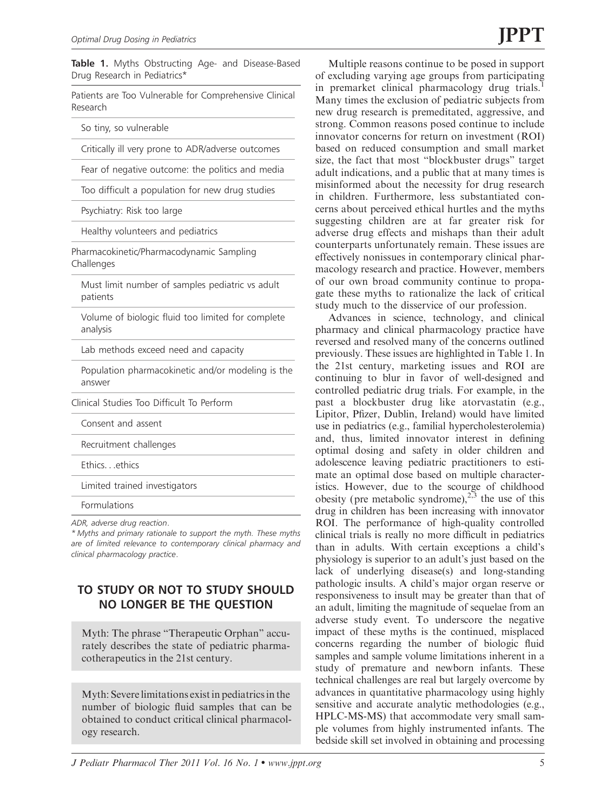Table 1. Myths Obstructing Age- and Disease-Based Drug Research in Pediatrics\*

Patients are Too Vulnerable for Comprehensive Clinical Research

So tiny, so vulnerable

Critically ill very prone to ADR/adverse outcomes

Fear of negative outcome: the politics and media

Too difficult a population for new drug studies

Psychiatry: Risk too large

Healthy volunteers and pediatrics

Pharmacokinetic/Pharmacodynamic Sampling Challenges

Must limit number of samples pediatric vs adult patients

Volume of biologic fluid too limited for complete analysis

Lab methods exceed need and capacity

Population pharmacokinetic and/or modeling is the answer

Clinical Studies Too Difficult To Perform

Consent and assent

Recruitment challenges

Ethics...ethics

Limited trained investigators

Formulations

ADR, adverse drug reaction.

\* Myths and primary rationale to support the myth. These myths are of limited relevance to contemporary clinical pharmacy and clinical pharmacology practice.

# TO STUDY OR NOT TO STUDY SHOULD NO LONGER BE THE QUESTION

Myth: The phrase ''Therapeutic Orphan'' accurately describes the state of pediatric pharmacotherapeutics in the 21st century.

Myth: Severe limitations exist in pediatrics in the number of biologic fluid samples that can be obtained to conduct critical clinical pharmacology research.

Multiple reasons continue to be posed in support of excluding varying age groups from participating in premarket clinical pharmacology drug trials.<sup>1</sup> Many times the exclusion of pediatric subjects from new drug research is premeditated, aggressive, and strong. Common reasons posed continue to include innovator concerns for return on investment (ROI) based on reduced consumption and small market size, the fact that most ''blockbuster drugs'' target adult indications, and a public that at many times is misinformed about the necessity for drug research in children. Furthermore, less substantiated concerns about perceived ethical hurtles and the myths suggesting children are at far greater risk for adverse drug effects and mishaps than their adult counterparts unfortunately remain. These issues are effectively nonissues in contemporary clinical pharmacology research and practice. However, members of our own broad community continue to propagate these myths to rationalize the lack of critical study much to the disservice of our profession.

Advances in science, technology, and clinical pharmacy and clinical pharmacology practice have reversed and resolved many of the concerns outlined previously. These issues are highlighted in Table 1. In the 21st century, marketing issues and ROI are continuing to blur in favor of well-designed and controlled pediatric drug trials. For example, in the past a blockbuster drug like atorvastatin (e.g., Lipitor, Pfizer, Dublin, Ireland) would have limited use in pediatrics (e.g., familial hypercholesterolemia) and, thus, limited innovator interest in defining optimal dosing and safety in older children and adolescence leaving pediatric practitioners to estimate an optimal dose based on multiple characteristics. However, due to the scourge of childhood obesity (pre metabolic syndrome),<sup>2,3</sup> the use of this drug in children has been increasing with innovator ROI. The performance of high-quality controlled clinical trials is really no more difficult in pediatrics than in adults. With certain exceptions a child's physiology is superior to an adult's just based on the lack of underlying disease(s) and long-standing pathologic insults. A child's major organ reserve or responsiveness to insult may be greater than that of an adult, limiting the magnitude of sequelae from an adverse study event. To underscore the negative impact of these myths is the continued, misplaced concerns regarding the number of biologic fluid samples and sample volume limitations inherent in a study of premature and newborn infants. These technical challenges are real but largely overcome by advances in quantitative pharmacology using highly sensitive and accurate analytic methodologies (e.g., HPLC-MS-MS) that accommodate very small sample volumes from highly instrumented infants. The bedside skill set involved in obtaining and processing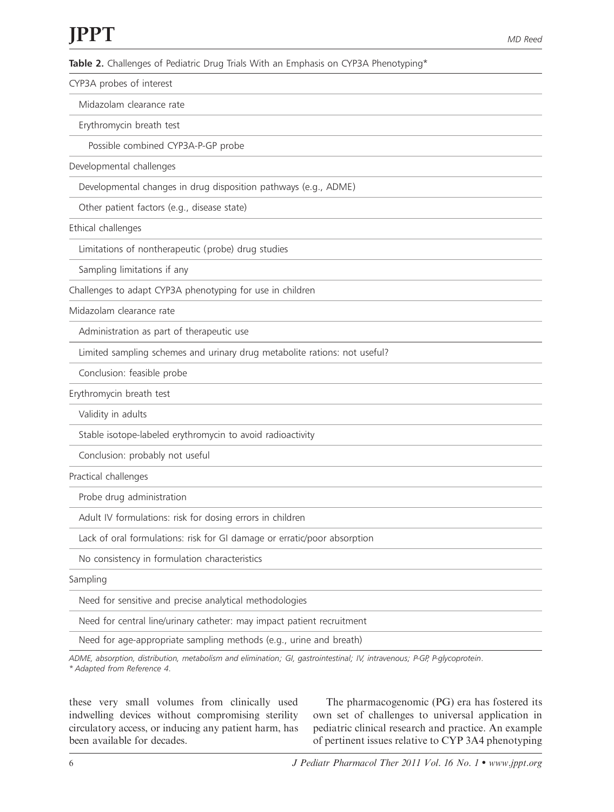Table 2. Challenges of Pediatric Drug Trials With an Emphasis on CYP3A Phenotyping\*

CYP3A probes of interest

Midazolam clearance rate

Erythromycin breath test

Possible combined CYP3A-P-GP probe

Developmental challenges

Developmental changes in drug disposition pathways (e.g., ADME)

Other patient factors (e.g., disease state)

Ethical challenges

Limitations of nontherapeutic (probe) drug studies

Sampling limitations if any

Challenges to adapt CYP3A phenotyping for use in children

Midazolam clearance rate

Administration as part of therapeutic use

Limited sampling schemes and urinary drug metabolite rations: not useful?

Conclusion: feasible probe

Erythromycin breath test

Validity in adults

Stable isotope-labeled erythromycin to avoid radioactivity

Conclusion: probably not useful

Practical challenges

Probe drug administration

Adult IV formulations: risk for dosing errors in children

Lack of oral formulations: risk for GI damage or erratic/poor absorption

No consistency in formulation characteristics

Sampling

Need for sensitive and precise analytical methodologies

Need for central line/urinary catheter: may impact patient recruitment

Need for age-appropriate sampling methods (e.g., urine and breath)

ADME, absorption, distribution, metabolism and elimination; GI, gastrointestinal; IV, intravenous; P-GP, P-glycoprotein. \* Adapted from Reference 4.

these very small volumes from clinically used indwelling devices without compromising sterility circulatory access, or inducing any patient harm, has been available for decades.

The pharmacogenomic (PG) era has fostered its own set of challenges to universal application in pediatric clinical research and practice. An example of pertinent issues relative to CYP 3A4 phenotyping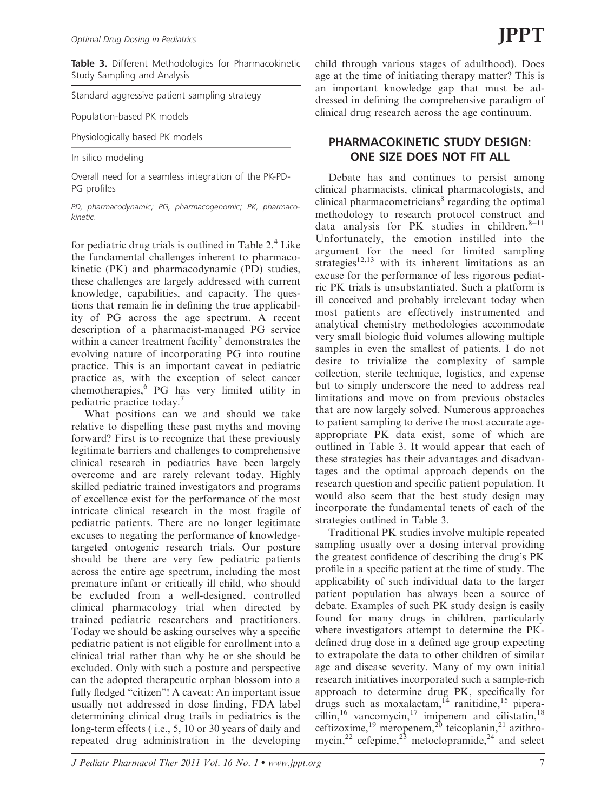Table 3. Different Methodologies for Pharmacokinetic Study Sampling and Analysis

|  |  | Standard aggressive patient sampling strategy |  |   |  |  |
|--|--|-----------------------------------------------|--|---|--|--|
|  |  |                                               |  | _ |  |  |

Population-based PK models

Physiologically based PK models

In silico modeling

Overall need for a seamless integration of the PK-PD-PG profiles

PD, pharmacodynamic; PG, pharmacogenomic; PK, pharmacokinetic.

for pediatric drug trials is outlined in Table  $2<sup>4</sup>$  Like the fundamental challenges inherent to pharmacokinetic (PK) and pharmacodynamic (PD) studies, these challenges are largely addressed with current knowledge, capabilities, and capacity. The questions that remain lie in defining the true applicability of PG across the age spectrum. A recent description of a pharmacist-managed PG service within a cancer treatment facility<sup>5</sup> demonstrates the evolving nature of incorporating PG into routine practice. This is an important caveat in pediatric practice as, with the exception of select cancer chemotherapies,<sup>6</sup> PG has very limited utility in pediatric practice today.<sup>7</sup>

What positions can we and should we take relative to dispelling these past myths and moving forward? First is to recognize that these previously legitimate barriers and challenges to comprehensive clinical research in pediatrics have been largely overcome and are rarely relevant today. Highly skilled pediatric trained investigators and programs of excellence exist for the performance of the most intricate clinical research in the most fragile of pediatric patients. There are no longer legitimate excuses to negating the performance of knowledgetargeted ontogenic research trials. Our posture should be there are very few pediatric patients across the entire age spectrum, including the most premature infant or critically ill child, who should be excluded from a well-designed, controlled clinical pharmacology trial when directed by trained pediatric researchers and practitioners. Today we should be asking ourselves why a specific pediatric patient is not eligible for enrollment into a clinical trial rather than why he or she should be excluded. Only with such a posture and perspective can the adopted therapeutic orphan blossom into a fully fledged ''citizen''! A caveat: An important issue usually not addressed in dose finding, FDA label determining clinical drug trails in pediatrics is the long-term effects ( i.e., 5, 10 or 30 years of daily and repeated drug administration in the developing

child through various stages of adulthood). Does age at the time of initiating therapy matter? This is an important knowledge gap that must be addressed in defining the comprehensive paradigm of clinical drug research across the age continuum.

### PHARMACOKINETIC STUDY DESIGN: ONE SIZE DOES NOT FIT ALL

Debate has and continues to persist among clinical pharmacists, clinical pharmacologists, and clinical pharmacometricians $\delta$  regarding the optimal methodology to research protocol construct and data analysis for PK studies in children. $8-11$ Unfortunately, the emotion instilled into the argument for the need for limited sampling strategies $12,13$  with its inherent limitations as an excuse for the performance of less rigorous pediatric PK trials is unsubstantiated. Such a platform is ill conceived and probably irrelevant today when most patients are effectively instrumented and analytical chemistry methodologies accommodate very small biologic fluid volumes allowing multiple samples in even the smallest of patients. I do not desire to trivialize the complexity of sample collection, sterile technique, logistics, and expense but to simply underscore the need to address real limitations and move on from previous obstacles that are now largely solved. Numerous approaches to patient sampling to derive the most accurate ageappropriate PK data exist, some of which are outlined in Table 3. It would appear that each of these strategies has their advantages and disadvantages and the optimal approach depends on the research question and specific patient population. It would also seem that the best study design may incorporate the fundamental tenets of each of the strategies outlined in Table 3.

Traditional PK studies involve multiple repeated sampling usually over a dosing interval providing the greatest confidence of describing the drug's PK profile in a specific patient at the time of study. The applicability of such individual data to the larger patient population has always been a source of debate. Examples of such PK study design is easily found for many drugs in children, particularly where investigators attempt to determine the PKdefined drug dose in a defined age group expecting to extrapolate the data to other children of similar age and disease severity. Many of my own initial research initiatives incorporated such a sample-rich approach to determine drug PK, specifically for drugs such as moxalactam,<sup>14</sup> ranitidine,<sup>15</sup> piperacillin,<sup>16</sup> vancomycin,<sup>17</sup> imipenem and cilistatin,<sup>18</sup> ceftizoxime,<sup>19</sup> meropenem,<sup>20</sup> teicoplanin,<sup>21</sup> azithromycin,<sup>22</sup> cefepime,<sup>23</sup> metoclopramide,<sup>24</sup> and select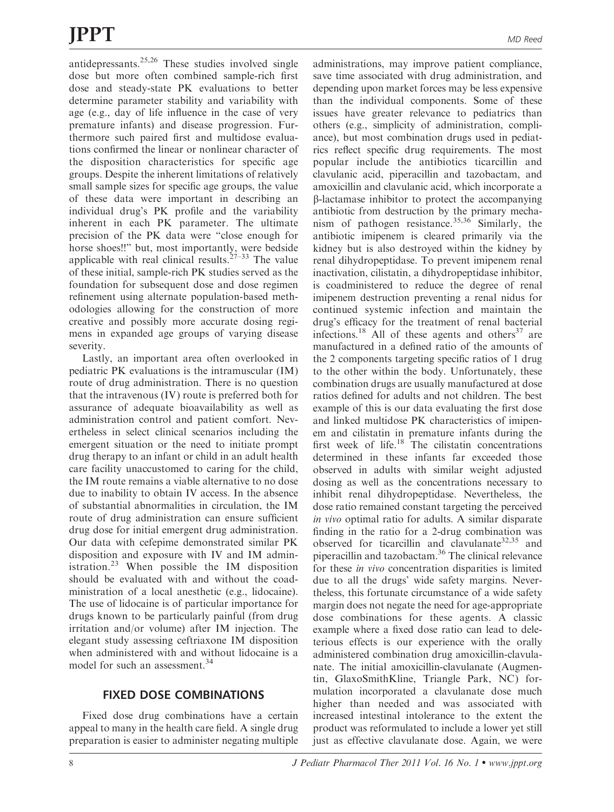antidepressants. $25,26$  These studies involved single dose but more often combined sample-rich first dose and steady-state PK evaluations to better determine parameter stability and variability with age (e.g., day of life influence in the case of very premature infants) and disease progression. Furthermore such paired first and multidose evaluations confirmed the linear or nonlinear character of the disposition characteristics for specific age groups. Despite the inherent limitations of relatively small sample sizes for specific age groups, the value of these data were important in describing an individual drug's PK profile and the variability inherent in each PK parameter. The ultimate precision of the PK data were ''close enough for horse shoes!!'' but, most importantly, were bedside applicable with real clinical results.<sup>27–33</sup> The value of these initial, sample-rich PK studies served as the foundation for subsequent dose and dose regimen refinement using alternate population-based methodologies allowing for the construction of more creative and possibly more accurate dosing regimens in expanded age groups of varying disease severity.

Lastly, an important area often overlooked in pediatric PK evaluations is the intramuscular (IM) route of drug administration. There is no question that the intravenous (IV) route is preferred both for assurance of adequate bioavailability as well as administration control and patient comfort. Nevertheless in select clinical scenarios including the emergent situation or the need to initiate prompt drug therapy to an infant or child in an adult health care facility unaccustomed to caring for the child, the IM route remains a viable alternative to no dose due to inability to obtain IV access. In the absence of substantial abnormalities in circulation, the IM route of drug administration can ensure sufficient drug dose for initial emergent drug administration. Our data with cefepime demonstrated similar PK disposition and exposure with IV and IM administration.<sup>23</sup> When possible the IM disposition should be evaluated with and without the coadministration of a local anesthetic (e.g., lidocaine). The use of lidocaine is of particular importance for drugs known to be particularly painful (from drug irritation and/or volume) after IM injection. The elegant study assessing ceftriaxone IM disposition when administered with and without lidocaine is a model for such an assessment.<sup>34</sup>

Fixed dose drug combinations have a certain appeal to many in the health care field. A single drug preparation is easier to administer negating multiple

administrations, may improve patient compliance, save time associated with drug administration, and depending upon market forces may be less expensive than the individual components. Some of these issues have greater relevance to pediatrics than others (e.g., simplicity of administration, compliance), but most combination drugs used in pediatrics reflect specific drug requirements. The most popular include the antibiotics ticarcillin and clavulanic acid, piperacillin and tazobactam, and amoxicillin and clavulanic acid, which incorporate a b-lactamase inhibitor to protect the accompanying antibiotic from destruction by the primary mechanism of pathogen resistance.<sup>35,36</sup> Similarly, the antibiotic imipenem is cleared primarily via the kidney but is also destroyed within the kidney by renal dihydropeptidase. To prevent imipenem renal inactivation, cilistatin, a dihydropeptidase inhibitor, is coadministered to reduce the degree of renal imipenem destruction preventing a renal nidus for continued systemic infection and maintain the drug's efficacy for the treatment of renal bacterial infections.<sup>18</sup> All of these agents and others<sup>37</sup> are manufactured in a defined ratio of the amounts of the 2 components targeting specific ratios of 1 drug to the other within the body. Unfortunately, these combination drugs are usually manufactured at dose ratios defined for adults and not children. The best example of this is our data evaluating the first dose and linked multidose PK characteristics of imipenem and cilistatin in premature infants during the first week of life. $18$  The cilistatin concentrations determined in these infants far exceeded those observed in adults with similar weight adjusted dosing as well as the concentrations necessary to inhibit renal dihydropeptidase. Nevertheless, the dose ratio remained constant targeting the perceived in vivo optimal ratio for adults. A similar disparate finding in the ratio for a 2-drug combination was observed for ticarcillin and clavulanate<sup>32,35</sup> and piperacillin and tazobactam.36 The clinical relevance for these in vivo concentration disparities is limited due to all the drugs' wide safety margins. Nevertheless, this fortunate circumstance of a wide safety margin does not negate the need for age-appropriate dose combinations for these agents. A classic example where a fixed dose ratio can lead to deleterious effects is our experience with the orally administered combination drug amoxicillin-clavulanate. The initial amoxicillin-clavulanate (Augmentin, GlaxoSmithKline, Triangle Park, NC) formulation incorporated a clavulanate dose much higher than needed and was associated with increased intestinal intolerance to the extent the product was reformulated to include a lower yet still just as effective clavulanate dose. Again, we were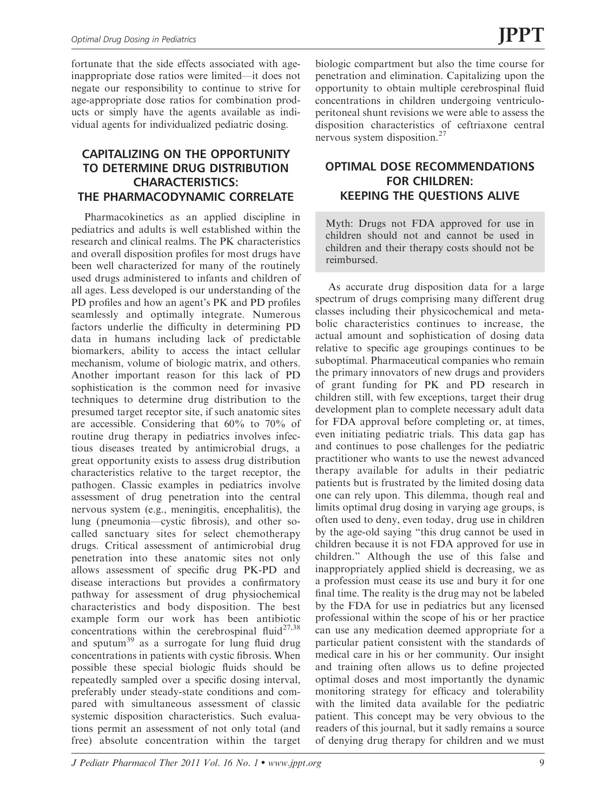fortunate that the side effects associated with ageinappropriate dose ratios were limited—it does not negate our responsibility to continue to strive for age-appropriate dose ratios for combination products or simply have the agents available as individual agents for individualized pediatric dosing.

## CAPITALIZING ON THE OPPORTUNITY TO DETERMINE DRUG DISTRIBUTION CHARACTERISTICS: THE PHARMACODYNAMIC CORRELATE

Pharmacokinetics as an applied discipline in pediatrics and adults is well established within the research and clinical realms. The PK characteristics and overall disposition profiles for most drugs have been well characterized for many of the routinely used drugs administered to infants and children of all ages. Less developed is our understanding of the PD profiles and how an agent's PK and PD profiles seamlessly and optimally integrate. Numerous factors underlie the difficulty in determining PD data in humans including lack of predictable biomarkers, ability to access the intact cellular mechanism, volume of biologic matrix, and others. Another important reason for this lack of PD sophistication is the common need for invasive techniques to determine drug distribution to the presumed target receptor site, if such anatomic sites are accessible. Considering that 60% to 70% of routine drug therapy in pediatrics involves infectious diseases treated by antimicrobial drugs, a great opportunity exists to assess drug distribution characteristics relative to the target receptor, the pathogen. Classic examples in pediatrics involve assessment of drug penetration into the central nervous system (e.g., meningitis, encephalitis), the lung (pneumonia—cystic fibrosis), and other socalled sanctuary sites for select chemotherapy drugs. Critical assessment of antimicrobial drug penetration into these anatomic sites not only allows assessment of specific drug PK-PD and disease interactions but provides a confirmatory pathway for assessment of drug physiochemical characteristics and body disposition. The best example form our work has been antibiotic concentrations within the cerebrospinal fluid<sup>27,38</sup> and sputum<sup>39</sup> as a surrogate for lung fluid drug concentrations in patients with cystic fibrosis. When possible these special biologic fluids should be repeatedly sampled over a specific dosing interval, preferably under steady-state conditions and compared with simultaneous assessment of classic systemic disposition characteristics. Such evaluations permit an assessment of not only total (and free) absolute concentration within the target

biologic compartment but also the time course for penetration and elimination. Capitalizing upon the opportunity to obtain multiple cerebrospinal fluid concentrations in children undergoing ventriculoperitoneal shunt revisions we were able to assess the disposition characteristics of ceftriaxone central nervous system disposition.<sup>27</sup>

## OPTIMAL DOSE RECOMMENDATIONS FOR CHILDREN: KEEPING THE QUESTIONS ALIVE

Myth: Drugs not FDA approved for use in children should not and cannot be used in children and their therapy costs should not be reimbursed.

As accurate drug disposition data for a large spectrum of drugs comprising many different drug classes including their physicochemical and metabolic characteristics continues to increase, the actual amount and sophistication of dosing data relative to specific age groupings continues to be suboptimal. Pharmaceutical companies who remain the primary innovators of new drugs and providers of grant funding for PK and PD research in children still, with few exceptions, target their drug development plan to complete necessary adult data for FDA approval before completing or, at times, even initiating pediatric trials. This data gap has and continues to pose challenges for the pediatric practitioner who wants to use the newest advanced therapy available for adults in their pediatric patients but is frustrated by the limited dosing data one can rely upon. This dilemma, though real and limits optimal drug dosing in varying age groups, is often used to deny, even today, drug use in children by the age-old saying ''this drug cannot be used in children because it is not FDA approved for use in children.'' Although the use of this false and inappropriately applied shield is decreasing, we as a profession must cease its use and bury it for one final time. The reality is the drug may not be labeled by the FDA for use in pediatrics but any licensed professional within the scope of his or her practice can use any medication deemed appropriate for a particular patient consistent with the standards of medical care in his or her community. Our insight and training often allows us to define projected optimal doses and most importantly the dynamic monitoring strategy for efficacy and tolerability with the limited data available for the pediatric patient. This concept may be very obvious to the readers of this journal, but it sadly remains a source of denying drug therapy for children and we must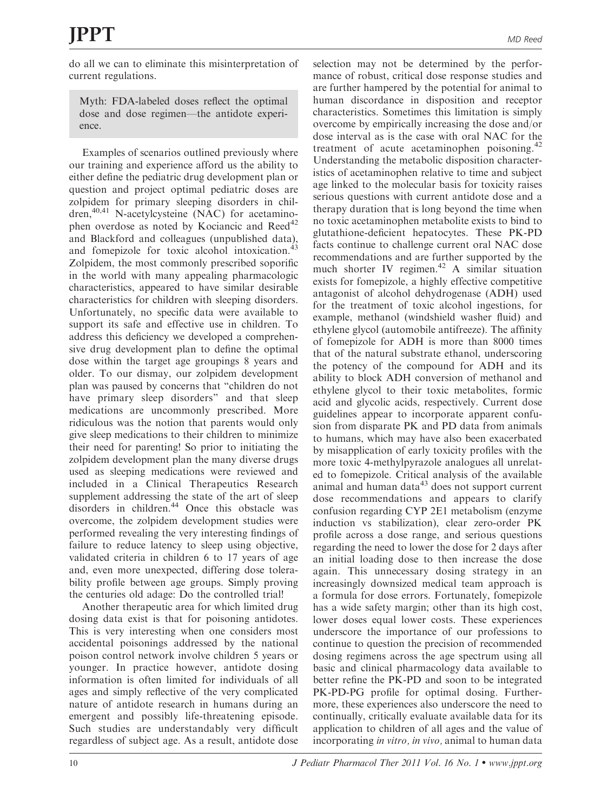do all we can to eliminate this misinterpretation of current regulations.

Myth: FDA-labeled doses reflect the optimal dose and dose regimen—the antidote experience.

Examples of scenarios outlined previously where our training and experience afford us the ability to either define the pediatric drug development plan or question and project optimal pediatric doses are zolpidem for primary sleeping disorders in children, $40,41$  N-acetylcysteine (NAC) for acetaminophen overdose as noted by Kociancic and Reed<sup>42</sup> and Blackford and colleagues (unpublished data), and fomepizole for toxic alcohol intoxication.<sup>43</sup> Zolpidem, the most commonly prescribed soporific in the world with many appealing pharmacologic characteristics, appeared to have similar desirable characteristics for children with sleeping disorders. Unfortunately, no specific data were available to support its safe and effective use in children. To address this deficiency we developed a comprehensive drug development plan to define the optimal dose within the target age groupings 8 years and older. To our dismay, our zolpidem development plan was paused by concerns that ''children do not have primary sleep disorders'' and that sleep medications are uncommonly prescribed. More ridiculous was the notion that parents would only give sleep medications to their children to minimize their need for parenting! So prior to initiating the zolpidem development plan the many diverse drugs used as sleeping medications were reviewed and included in a Clinical Therapeutics Research supplement addressing the state of the art of sleep disorders in children.<sup>44</sup> Once this obstacle was overcome, the zolpidem development studies were performed revealing the very interesting findings of failure to reduce latency to sleep using objective, validated criteria in children 6 to 17 years of age and, even more unexpected, differing dose tolerability profile between age groups. Simply proving the centuries old adage: Do the controlled trial!

Another therapeutic area for which limited drug dosing data exist is that for poisoning antidotes. This is very interesting when one considers most accidental poisonings addressed by the national poison control network involve children 5 years or younger. In practice however, antidote dosing information is often limited for individuals of all ages and simply reflective of the very complicated nature of antidote research in humans during an emergent and possibly life-threatening episode. Such studies are understandably very difficult regardless of subject age. As a result, antidote dose

selection may not be determined by the performance of robust, critical dose response studies and are further hampered by the potential for animal to human discordance in disposition and receptor characteristics. Sometimes this limitation is simply overcome by empirically increasing the dose and/or dose interval as is the case with oral NAC for the treatment of acute acetaminophen poisoning.<sup>42</sup> Understanding the metabolic disposition characteristics of acetaminophen relative to time and subject age linked to the molecular basis for toxicity raises serious questions with current antidote dose and a therapy duration that is long beyond the time when no toxic acetaminophen metabolite exists to bind to glutathione-deficient hepatocytes. These PK-PD facts continue to challenge current oral NAC dose recommendations and are further supported by the much shorter IV regimen. $42$  A similar situation exists for fomepizole, a highly effective competitive antagonist of alcohol dehydrogenase (ADH) used for the treatment of toxic alcohol ingestions, for example, methanol (windshield washer fluid) and ethylene glycol (automobile antifreeze). The affinity of fomepizole for ADH is more than 8000 times that of the natural substrate ethanol, underscoring the potency of the compound for ADH and its ability to block ADH conversion of methanol and ethylene glycol to their toxic metabolites, formic acid and glycolic acids, respectively. Current dose guidelines appear to incorporate apparent confusion from disparate PK and PD data from animals to humans, which may have also been exacerbated by misapplication of early toxicity profiles with the more toxic 4-methylpyrazole analogues all unrelated to fomepizole. Critical analysis of the available animal and human data $43$  does not support current dose recommendations and appears to clarify confusion regarding CYP 2E1 metabolism (enzyme induction vs stabilization), clear zero-order PK profile across a dose range, and serious questions regarding the need to lower the dose for 2 days after an initial loading dose to then increase the dose again. This unnecessary dosing strategy in an increasingly downsized medical team approach is a formula for dose errors. Fortunately, fomepizole has a wide safety margin; other than its high cost, lower doses equal lower costs. These experiences underscore the importance of our professions to continue to question the precision of recommended dosing regimens across the age spectrum using all basic and clinical pharmacology data available to better refine the PK-PD and soon to be integrated PK-PD-PG profile for optimal dosing. Furthermore, these experiences also underscore the need to continually, critically evaluate available data for its application to children of all ages and the value of incorporating in vitro, in vivo, animal to human data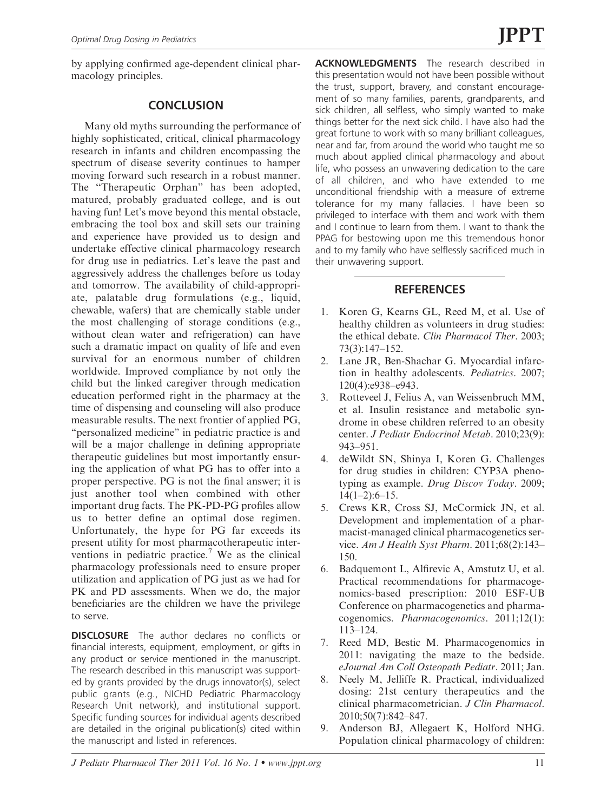by applying confirmed age-dependent clinical pharmacology principles.

#### **CONCLUSION**

Many old myths surrounding the performance of highly sophisticated, critical, clinical pharmacology research in infants and children encompassing the spectrum of disease severity continues to hamper moving forward such research in a robust manner. The ''Therapeutic Orphan'' has been adopted, matured, probably graduated college, and is out having fun! Let's move beyond this mental obstacle, embracing the tool box and skill sets our training and experience have provided us to design and undertake effective clinical pharmacology research for drug use in pediatrics. Let's leave the past and aggressively address the challenges before us today and tomorrow. The availability of child-appropriate, palatable drug formulations (e.g., liquid, chewable, wafers) that are chemically stable under the most challenging of storage conditions (e.g., without clean water and refrigeration) can have such a dramatic impact on quality of life and even survival for an enormous number of children worldwide. Improved compliance by not only the child but the linked caregiver through medication education performed right in the pharmacy at the time of dispensing and counseling will also produce measurable results. The next frontier of applied PG, "personalized medicine" in pediatric practice is and will be a major challenge in defining appropriate therapeutic guidelines but most importantly ensuring the application of what PG has to offer into a proper perspective. PG is not the final answer; it is just another tool when combined with other important drug facts. The PK-PD-PG profiles allow us to better define an optimal dose regimen. Unfortunately, the hype for PG far exceeds its present utility for most pharmacotherapeutic interventions in pediatric practice.<sup>7</sup> We as the clinical pharmacology professionals need to ensure proper utilization and application of PG just as we had for PK and PD assessments. When we do, the major beneficiaries are the children we have the privilege to serve.

**DISCLOSURE** The author declares no conflicts or financial interests, equipment, employment, or gifts in any product or service mentioned in the manuscript. The research described in this manuscript was supported by grants provided by the drugs innovator(s), select public grants (e.g., NICHD Pediatric Pharmacology Research Unit network), and institutional support. Specific funding sources for individual agents described are detailed in the original publication(s) cited within the manuscript and listed in references.

ACKNOWLEDGMENTS The research described in this presentation would not have been possible without the trust, support, bravery, and constant encouragement of so many families, parents, grandparents, and sick children, all selfless, who simply wanted to make things better for the next sick child. I have also had the great fortune to work with so many brilliant colleagues, near and far, from around the world who taught me so much about applied clinical pharmacology and about life, who possess an unwavering dedication to the care of all children, and who have extended to me unconditional friendship with a measure of extreme tolerance for my many fallacies. I have been so privileged to interface with them and work with them and I continue to learn from them. I want to thank the PPAG for bestowing upon me this tremendous honor and to my family who have selflessly sacrificed much in their unwavering support.

### **REFERENCES**

- 1. Koren G, Kearns GL, Reed M, et al. Use of healthy children as volunteers in drug studies: the ethical debate. Clin Pharmacol Ther. 2003; 73(3):147–152.
- 2. Lane JR, Ben-Shachar G. Myocardial infarction in healthy adolescents. Pediatrics. 2007; 120(4):e938–e943.
- 3. Rotteveel J, Felius A, van Weissenbruch MM, et al. Insulin resistance and metabolic syndrome in obese children referred to an obesity center. J Pediatr Endocrinol Metab. 2010;23(9): 943–951.
- 4. deWildt SN, Shinya I, Koren G. Challenges for drug studies in children: CYP3A phenotyping as example. Drug Discov Today. 2009;  $14(1-2):6-15.$
- 5. Crews KR, Cross SJ, McCormick JN, et al. Development and implementation of a pharmacist-managed clinical pharmacogenetics service. Am J Health Syst Pharm. 2011;68(2):143– 150.
- 6. Badquemont L, Alfirevic A, Amstutz U, et al. Practical recommendations for pharmacogenomics-based prescription: 2010 ESF-UB Conference on pharmacogenetics and pharmacogenomics. Pharmacogenomics. 2011;12(1): 113–124.
- 7. Reed MD, Bestic M. Pharmacogenomics in 2011: navigating the maze to the bedside. eJournal Am Coll Osteopath Pediatr. 2011; Jan.
- 8. Neely M, Jelliffe R. Practical, individualized dosing: 21st century therapeutics and the clinical pharmacometrician. J Clin Pharmacol. 2010;50(7):842–847.
- 9. Anderson BJ, Allegaert K, Holford NHG. Population clinical pharmacology of children: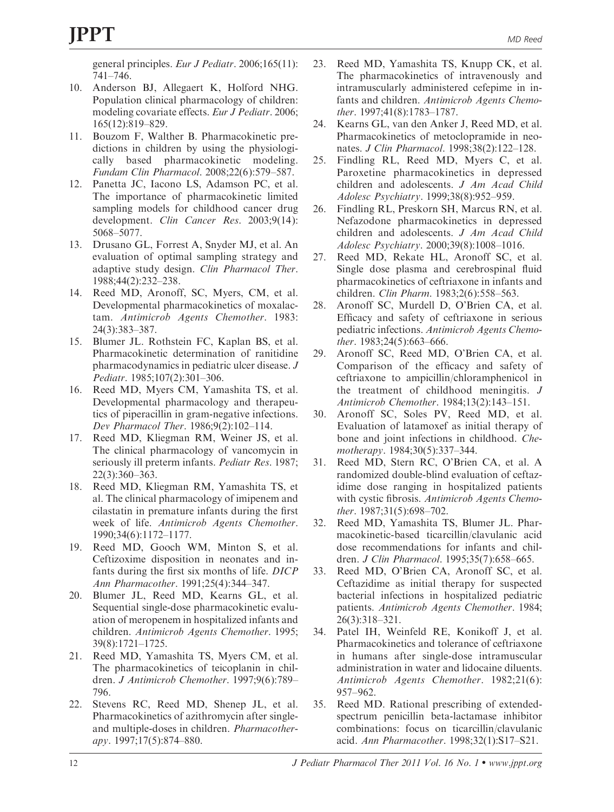general principles. Eur J Pediatr. 2006;165(11): 741–746.

- 10. Anderson BJ, Allegaert K, Holford NHG. Population clinical pharmacology of children: modeling covariate effects. Eur J Pediatr. 2006; 165(12):819–829.
- 11. Bouzom F, Walther B. Pharmacokinetic predictions in children by using the physiologically based pharmacokinetic modeling. Fundam Clin Pharmacol. 2008;22(6):579–587.
- 12. Panetta JC, Iacono LS, Adamson PC, et al. The importance of pharmacokinetic limited sampling models for childhood cancer drug development. Clin Cancer Res. 2003;9(14): 5068–5077.
- 13. Drusano GL, Forrest A, Snyder MJ, et al. An evaluation of optimal sampling strategy and adaptive study design. Clin Pharmacol Ther. 1988;44(2):232–238.
- 14. Reed MD, Aronoff, SC, Myers, CM, et al. Developmental pharmacokinetics of moxalactam. Antimicrob Agents Chemother. 1983: 24(3):383–387.
- 15. Blumer JL. Rothstein FC, Kaplan BS, et al. Pharmacokinetic determination of ranitidine pharmacodynamics in pediatric ulcer disease. J Pediatr. 1985;107(2):301–306.
- 16. Reed MD, Myers CM, Yamashita TS, et al. Developmental pharmacology and therapeutics of piperacillin in gram-negative infections. Dev Pharmacol Ther. 1986;9(2):102–114.
- 17. Reed MD, Kliegman RM, Weiner JS, et al. The clinical pharmacology of vancomycin in seriously ill preterm infants. Pediatr Res. 1987; 22(3):360–363.
- 18. Reed MD, Kliegman RM, Yamashita TS, et al. The clinical pharmacology of imipenem and cilastatin in premature infants during the first week of life. Antimicrob Agents Chemother. 1990;34(6):1172–1177.
- 19. Reed MD, Gooch WM, Minton S, et al. Ceftizoxime disposition in neonates and infants during the first six months of life. DICP Ann Pharmacother. 1991;25(4):344–347.
- 20. Blumer JL, Reed MD, Kearns GL, et al. Sequential single-dose pharmacokinetic evaluation of meropenem in hospitalized infants and children. Antimicrob Agents Chemother. 1995; 39(8):1721–1725.
- 21. Reed MD, Yamashita TS, Myers CM, et al. The pharmacokinetics of teicoplanin in children. J Antimicrob Chemother. 1997;9(6):789– 796.
- 22. Stevens RC, Reed MD, Shenep JL, et al. Pharmacokinetics of azithromycin after singleand multiple-doses in children. Pharmacotherapy. 1997;17(5):874–880.
- 23. Reed MD, Yamashita TS, Knupp CK, et al. The pharmacokinetics of intravenously and intramuscularly administered cefepime in infants and children. Antimicrob Agents Chemother. 1997;41(8):1783–1787.
- 24. Kearns GL, van den Anker J, Reed MD, et al. Pharmacokinetics of metoclopramide in neonates. J Clin Pharmacol. 1998;38(2):122–128.
- 25. Findling RL, Reed MD, Myers C, et al. Paroxetine pharmacokinetics in depressed children and adolescents. J Am Acad Child Adolesc Psychiatry. 1999;38(8):952–959.
- 26. Findling RL, Preskorn SH, Marcus RN, et al. Nefazodone pharmacokinetics in depressed children and adolescents. J Am Acad Child Adolesc Psychiatry. 2000;39(8):1008–1016.
- 27. Reed MD, Rekate HL, Aronoff SC, et al. Single dose plasma and cerebrospinal fluid pharmacokinetics of ceftriaxone in infants and children. Clin Pharm. 1983;2(6):558–563.
- 28. Aronoff SC, Murdell D, O'Brien CA, et al. Efficacy and safety of ceftriaxone in serious pediatric infections. Antimicrob Agents Chemother. 1983;24(5):663–666.
- 29. Aronoff SC, Reed MD, O'Brien CA, et al. Comparison of the efficacy and safety of ceftriaxone to ampicillin/chloramphenicol in the treatment of childhood meningitis. J Antimicrob Chemother. 1984;13(2):143–151.
- 30. Aronoff SC, Soles PV, Reed MD, et al. Evaluation of latamoxef as initial therapy of bone and joint infections in childhood. Chemotherapy. 1984;30(5):337–344.
- 31. Reed MD, Stern RC, O'Brien CA, et al. A randomized double-blind evaluation of ceftazidime dose ranging in hospitalized patients with cystic fibrosis. Antimicrob Agents Chemother. 1987;31(5):698–702.
- 32. Reed MD, Yamashita TS, Blumer JL. Pharmacokinetic-based ticarcillin/clavulanic acid dose recommendations for infants and children. J Clin Pharmacol. 1995;35(7):658–665.
- 33. Reed MD, O'Brien CA, Aronoff SC, et al. Ceftazidime as initial therapy for suspected bacterial infections in hospitalized pediatric patients. Antimicrob Agents Chemother. 1984; 26(3):318–321.
- 34. Patel IH, Weinfeld RE, Konikoff J, et al. Pharmacokinetics and tolerance of ceftriaxone in humans after single-dose intramuscular administration in water and lidocaine diluents. Antimicrob Agents Chemother. 1982;21(6): 957–962.
- 35. Reed MD. Rational prescribing of extendedspectrum penicillin beta-lactamase inhibitor combinations: focus on ticarcillin/clavulanic acid. Ann Pharmacother. 1998;32(1):S17–S21.